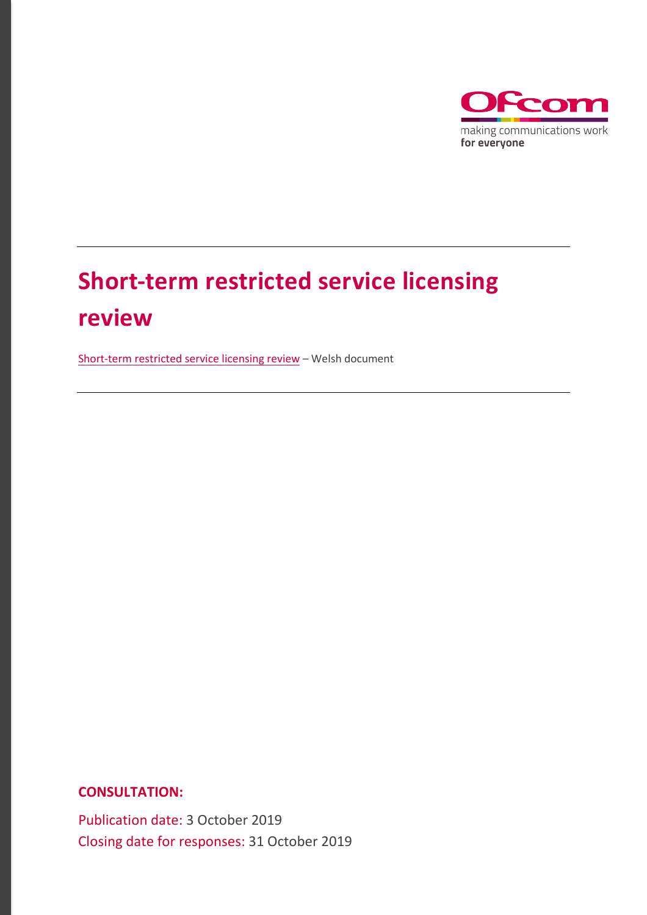

# **Short-term restricted service licensing review**

[Short-term restricted service licensing review](https://www.ofcom.org.uk/__data/assets/pdf_file/0031/169708/adolygiad-o-drwyddedu-gwasanaethau-cyfyngedig-tymor-byr.pdf) – Welsh document

**CONSULTATION:**

Publication date: 3 October 2019 Closing date for responses: 31 October 2019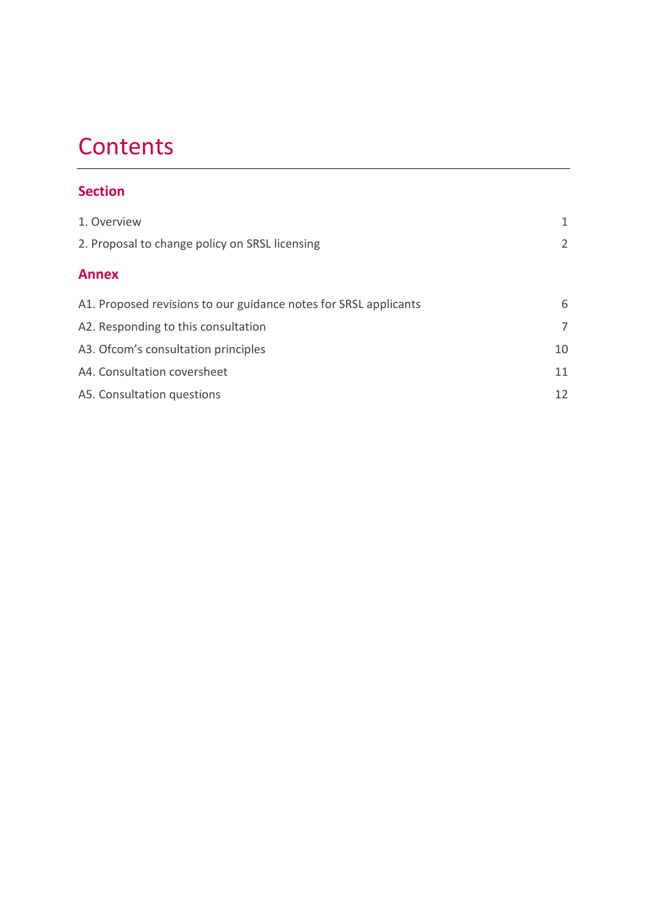## **Contents**

#### **Section**

| 1. Overview                                                      | 1  |
|------------------------------------------------------------------|----|
| 2. Proposal to change policy on SRSL licensing                   | 2  |
|                                                                  |    |
| <b>Annex</b>                                                     |    |
| A1. Proposed revisions to our guidance notes for SRSL applicants | 6  |
| A2. Responding to this consultation                              | 7  |
| A3. Ofcom's consultation principles                              | 10 |
| A4. Consultation coversheet                                      | 11 |
| A5. Consultation questions                                       | 12 |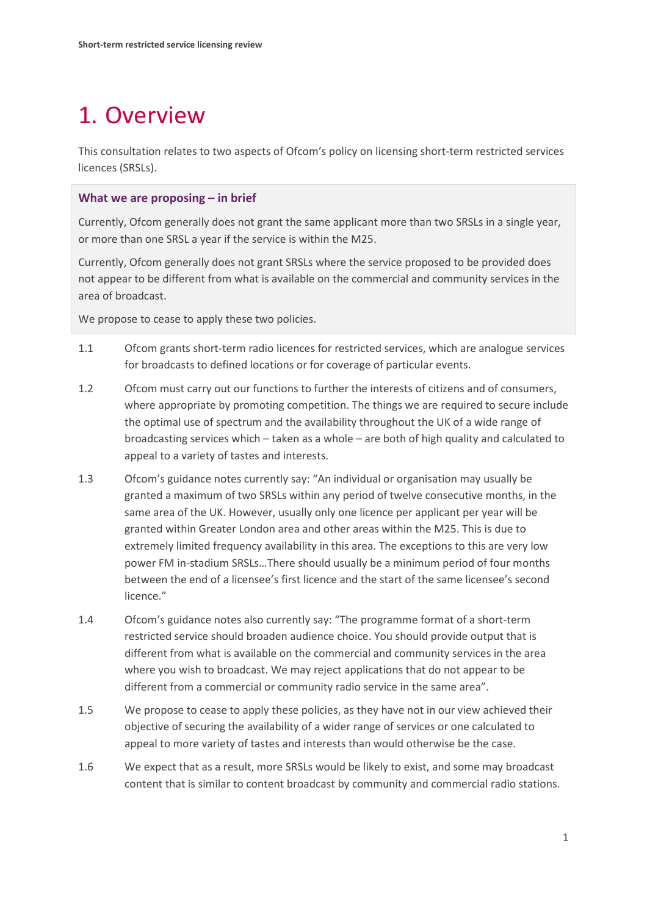### <span id="page-2-0"></span>1. Overview

This consultation relates to two aspects of Ofcom's policy on licensing short-term restricted services licences (SRSLs).

#### **What we are proposing – in brief**

Currently, Ofcom generally does not grant the same applicant more than two SRSLs in a single year, or more than one SRSL a year if the service is within the M25.

Currently, Ofcom generally does not grant SRSLs where the service proposed to be provided does not appear to be different from what is available on the commercial and community services in the area of broadcast.

We propose to cease to apply these two policies.

- 1.1 Ofcom grants short-term radio licences for restricted services, which are analogue services for broadcasts to defined locations or for coverage of particular events.
- 1.2 Ofcom must carry out our functions to further the interests of citizens and of consumers, where appropriate by promoting competition. The things we are required to secure include the optimal use of spectrum and the availability throughout the UK of a wide range of broadcasting services which – taken as a whole – are both of high quality and calculated to appeal to a variety of tastes and interests.
- 1.3 Ofcom's guidance notes currently say: "An individual or organisation may usually be granted a maximum of two SRSLs within any period of twelve consecutive months, in the same area of the UK. However, usually only one licence per applicant per year will be granted within Greater London area and other areas within the M25. This is due to extremely limited frequency availability in this area. The exceptions to this are very low power FM in-stadium SRSLs…There should usually be a minimum period of four months between the end of a licensee's first licence and the start of the same licensee's second licence."
- 1.4 Ofcom's guidance notes also currently say: "The programme format of a short-term restricted service should broaden audience choice. You should provide output that is different from what is available on the commercial and community services in the area where you wish to broadcast. We may reject applications that do not appear to be different from a commercial or community radio service in the same area".
- 1.5 We propose to cease to apply these policies, as they have not in our view achieved their objective of securing the availability of a wider range of services or one calculated to appeal to more variety of tastes and interests than would otherwise be the case.
- 1.6 We expect that as a result, more SRSLs would be likely to exist, and some may broadcast content that is similar to content broadcast by community and commercial radio stations.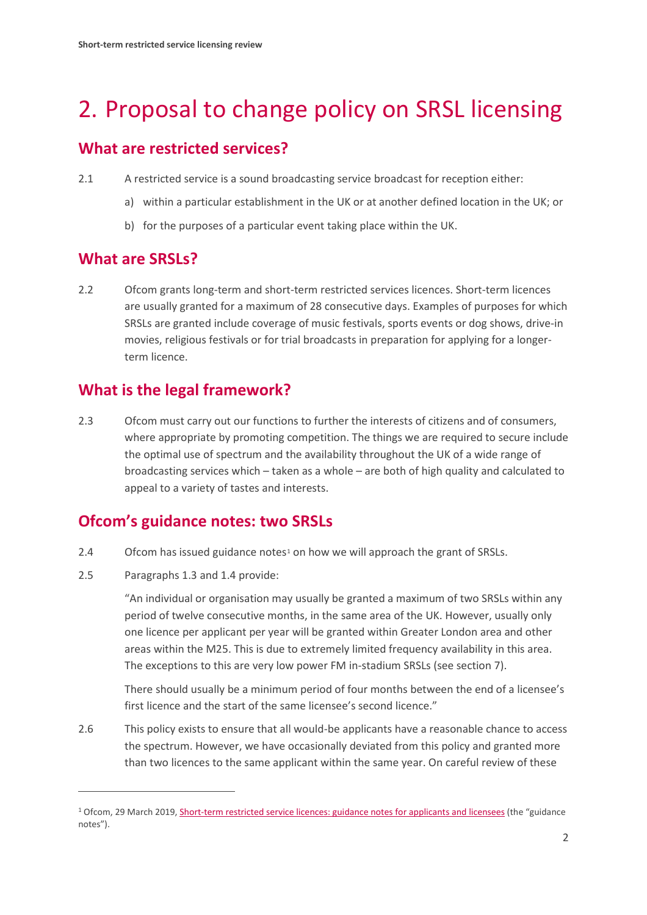### <span id="page-3-0"></span>2. Proposal to change policy on SRSL licensing

#### **What are restricted services?**

- 2.1 A restricted service is a sound broadcasting service broadcast for reception either:
	- a) within a particular establishment in the UK or at another defined location in the UK; or
	- b) for the purposes of a particular event taking place within the UK.

#### **What are SRSLs?**

2.2 Ofcom grants long-term and short-term restricted services licences. Short-term licences are usually granted for a maximum of 28 consecutive days. Examples of purposes for which SRSLs are granted include coverage of music festivals, sports events or dog shows, drive-in movies, religious festivals or for trial broadcasts in preparation for applying for a longerterm licence.

#### **What is the legal framework?**

2.3 Ofcom must carry out our functions to further the interests of citizens and of consumers, where appropriate by promoting competition. The things we are required to secure include the optimal use of spectrum and the availability throughout the UK of a wide range of broadcasting services which – taken as a whole – are both of high quality and calculated to appeal to a variety of tastes and interests.

#### **Ofcom's guidance notes: two SRSLs**

- 2.4 Ofcom has issued guidance notes<sup>[1](#page-3-1)</sup> on how we will approach the grant of SRSLs.
- 2.5 Paragraphs 1.3 and 1.4 provide:

 $\overline{a}$ 

"An individual or organisation may usually be granted a maximum of two SRSLs within any period of twelve consecutive months, in the same area of the UK. However, usually only one licence per applicant per year will be granted within Greater London area and other areas within the M25. This is due to extremely limited frequency availability in this area. The exceptions to this are very low power FM in-stadium SRSLs (see section 7).

There should usually be a minimum period of four months between the end of a licensee's first licence and the start of the same licensee's second licence."

2.6 This policy exists to ensure that all would-be applicants have a reasonable chance to access the spectrum. However, we have occasionally deviated from this policy and granted more than two licences to the same applicant within the same year. On careful review of these

<span id="page-3-1"></span><sup>&</sup>lt;sup>1</sup> Ofcom, 29 March 2019[, Short-term restricted service licences:](https://www.ofcom.org.uk/__data/assets/pdf_file/0022/125527/Short-term-RSL-guidance.pdf) guidance notes for applicants and licensees (the "guidance notes").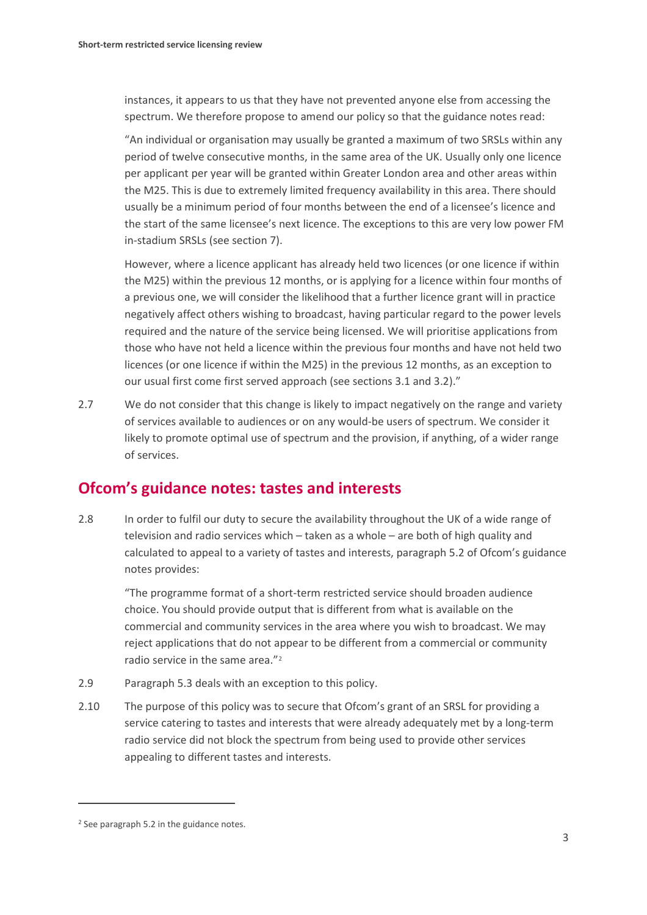instances, it appears to us that they have not prevented anyone else from accessing the spectrum. We therefore propose to amend our policy so that the guidance notes read:

"An individual or organisation may usually be granted a maximum of two SRSLs within any period of twelve consecutive months, in the same area of the UK. Usually only one licence per applicant per year will be granted within Greater London area and other areas within the M25. This is due to extremely limited frequency availability in this area. There should usually be a minimum period of four months between the end of a licensee's licence and the start of the same licensee's next licence. The exceptions to this are very low power FM in-stadium SRSLs (see section 7).

However, where a licence applicant has already held two licences (or one licence if within the M25) within the previous 12 months, or is applying for a licence within four months of a previous one, we will consider the likelihood that a further licence grant will in practice negatively affect others wishing to broadcast, having particular regard to the power levels required and the nature of the service being licensed. We will prioritise applications from those who have not held a licence within the previous four months and have not held two licences (or one licence if within the M25) in the previous 12 months, as an exception to our usual first come first served approach (see sections 3.1 and 3.2)."

2.7 We do not consider that this change is likely to impact negatively on the range and variety of services available to audiences or on any would-be users of spectrum. We consider it likely to promote optimal use of spectrum and the provision, if anything, of a wider range of services.

#### **Ofcom's guidance notes: tastes and interests**

2.8 In order to fulfil our duty to secure the availability throughout the UK of a wide range of television and radio services which – taken as a whole – are both of high quality and calculated to appeal to a variety of tastes and interests, paragraph 5.2 of Ofcom's guidance notes provides:

"The programme format of a short-term restricted service should broaden audience choice. You should provide output that is different from what is available on the commercial and community services in the area where you wish to broadcast. We may reject applications that do not appear to be different from a commercial or community radio service in the same area."[2](#page-4-0)

- 2.9 Paragraph 5.3 deals with an exception to this policy.
- 2.10 The purpose of this policy was to secure that Ofcom's grant of an SRSL for providing a service catering to tastes and interests that were already adequately met by a long-term radio service did not block the spectrum from being used to provide other services appealing to different tastes and interests.

 $\overline{a}$ 

<span id="page-4-0"></span><sup>2</sup> See paragraph 5.2 in the guidance notes.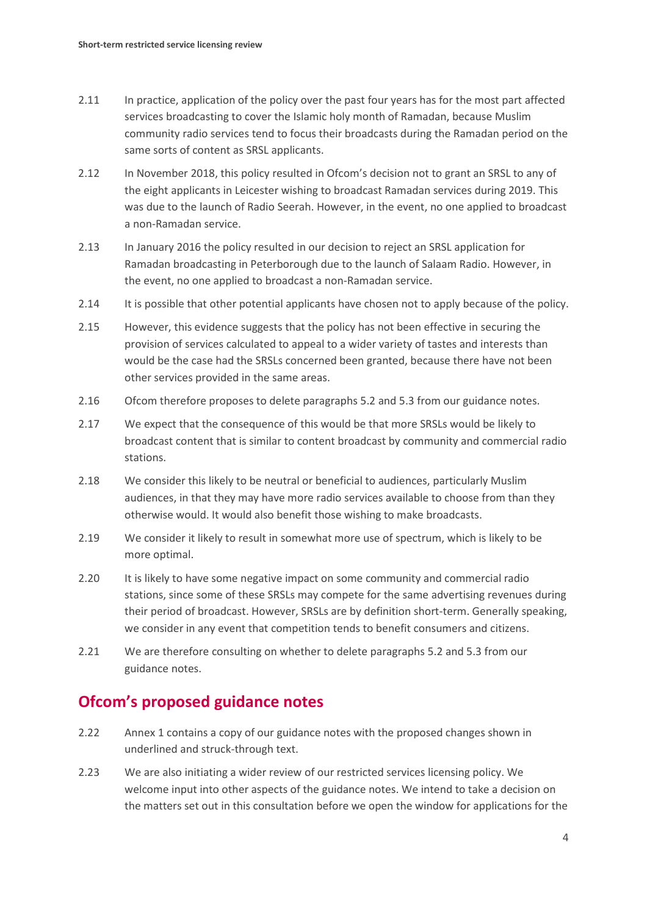- 2.11 In practice, application of the policy over the past four years has for the most part affected services broadcasting to cover the Islamic holy month of Ramadan, because Muslim community radio services tend to focus their broadcasts during the Ramadan period on the same sorts of content as SRSL applicants.
- 2.12 In November 2018, this policy resulted in Ofcom's decision not to grant an SRSL to any of the eight applicants in Leicester wishing to broadcast Ramadan services during 2019. This was due to the launch of Radio Seerah. However, in the event, no one applied to broadcast a non-Ramadan service.
- 2.13 In January 2016 the policy resulted in our decision to reject an SRSL application for Ramadan broadcasting in Peterborough due to the launch of Salaam Radio. However, in the event, no one applied to broadcast a non-Ramadan service.
- 2.14 It is possible that other potential applicants have chosen not to apply because of the policy.
- 2.15 However, this evidence suggests that the policy has not been effective in securing the provision of services calculated to appeal to a wider variety of tastes and interests than would be the case had the SRSLs concerned been granted, because there have not been other services provided in the same areas.
- 2.16 Ofcom therefore proposes to delete paragraphs 5.2 and 5.3 from our guidance notes.
- 2.17 We expect that the consequence of this would be that more SRSLs would be likely to broadcast content that is similar to content broadcast by community and commercial radio stations.
- 2.18 We consider this likely to be neutral or beneficial to audiences, particularly Muslim audiences, in that they may have more radio services available to choose from than they otherwise would. It would also benefit those wishing to make broadcasts.
- 2.19 We consider it likely to result in somewhat more use of spectrum, which is likely to be more optimal.
- 2.20 It is likely to have some negative impact on some community and commercial radio stations, since some of these SRSLs may compete for the same advertising revenues during their period of broadcast. However, SRSLs are by definition short-term. Generally speaking, we consider in any event that competition tends to benefit consumers and citizens.
- 2.21 We are therefore consulting on whether to delete paragraphs 5.2 and 5.3 from our guidance notes.

#### **Ofcom's proposed guidance notes**

- 2.22 Annex 1 contains a copy of our guidance notes with the proposed changes shown in underlined and struck-through text.
- 2.23 We are also initiating a wider review of our restricted services licensing policy. We welcome input into other aspects of the guidance notes. We intend to take a decision on the matters set out in this consultation before we open the window for applications for the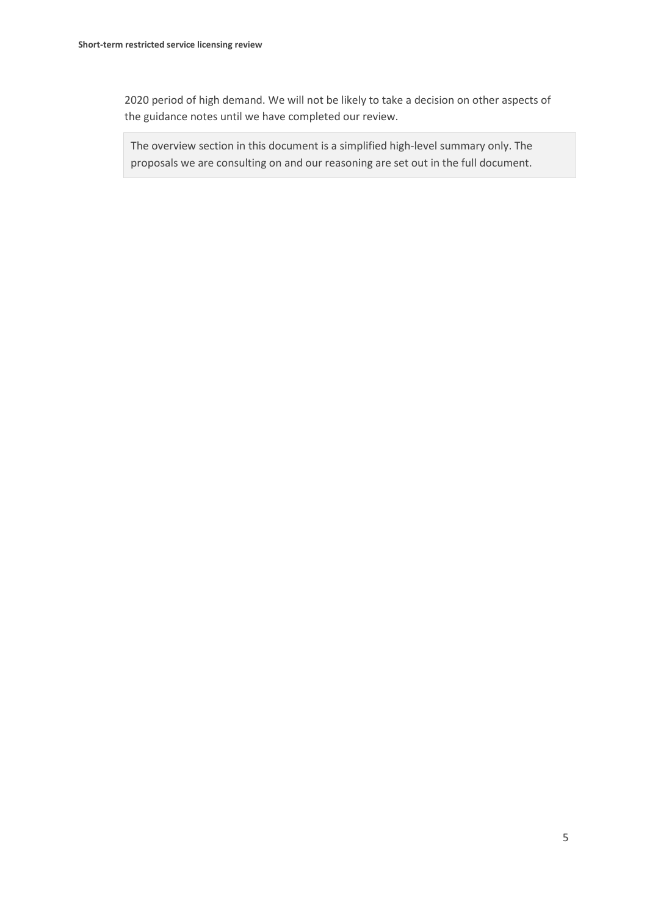2020 period of high demand. We will not be likely to take a decision on other aspects of the guidance notes until we have completed our review.

The overview section in this document is a simplified high-level summary only. The proposals we are consulting on and our reasoning are set out in the full document.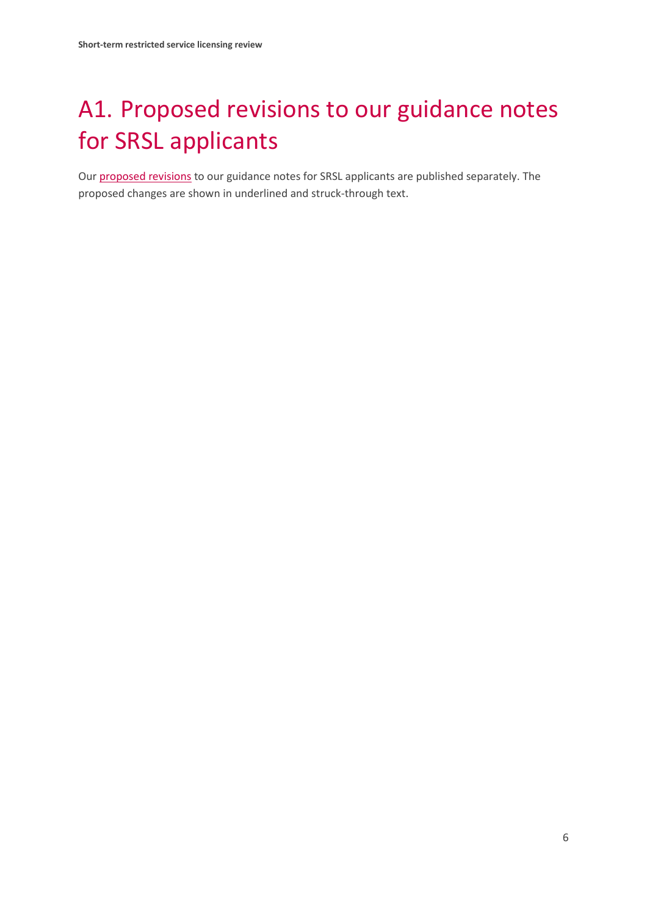# <span id="page-7-0"></span>A1. Proposed revisions to our guidance notes for SRSL applicants

Our [proposed revisions](https://www.ofcom.org.uk/__data/assets/pdf_file/0029/168653/draft-short-term-rsl-guidance.pdf) to our guidance notes for SRSL applicants are published separately. The proposed changes are shown in underlined and struck-through text.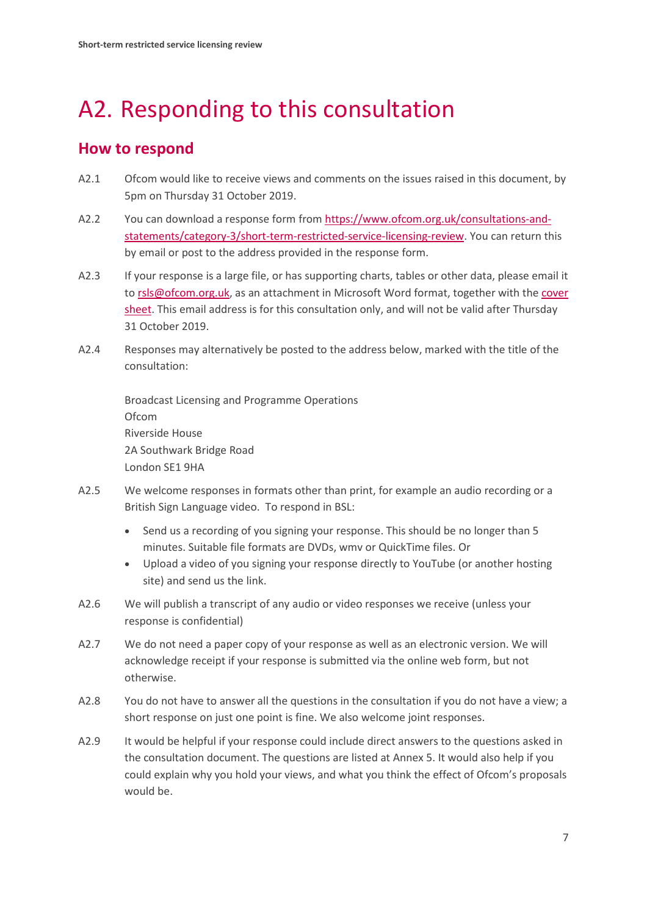## <span id="page-8-0"></span>A2. Responding to this consultation

#### **How to respond**

- A2.1 Ofcom would like to receive views and comments on the issues raised in this document, by 5pm on Thursday 31 October 2019.
- A2.2 You can download a response form from [https://www.ofcom.org.uk/consultations-and](https://www.ofcom.org.uk/consultations-and-statements/category-3/short-term-restricted-service-licensing-review)[statements/category-3/short-term-restricted-service-licensing-review.](https://www.ofcom.org.uk/consultations-and-statements/category-3/short-term-restricted-service-licensing-review) You can return this by email or post to the address provided in the response form.
- A2.3 If your response is a large file, or has supporting charts, tables or other data, please email it t[o rsls@ofcom.org.uk,](mailto:rsls@ofcom.org.uk) as an attachment in Microsoft Word format, together with the cover [sheet.](https://www.ofcom.org.uk/consultations-and-statements/consultation-response-coversheet) This email address is for this consultation only, and will not be valid after Thursday 31 October 2019.
- A2.4 Responses may alternatively be posted to the address below, marked with the title of the consultation:

Broadcast Licensing and Programme Operations Ofcom Riverside House 2A Southwark Bridge Road London SE1 9HA

- A2.5 We welcome responses in formats other than print, for example an audio recording or a British Sign Language video. To respond in BSL:
	- Send us a recording of you signing your response. This should be no longer than 5 minutes. Suitable file formats are DVDs, wmv or QuickTime files. Or
	- Upload a video of you signing your response directly to YouTube (or another hosting site) and send us the link.
- A2.6 We will publish a transcript of any audio or video responses we receive (unless your response is confidential)
- A2.7 We do not need a paper copy of your response as well as an electronic version. We will acknowledge receipt if your response is submitted via the online web form, but not otherwise.
- A2.8 You do not have to answer all the questions in the consultation if you do not have a view; a short response on just one point is fine. We also welcome joint responses.
- A2.9 It would be helpful if your response could include direct answers to the questions asked in the consultation document. The questions are listed at Annex 5. It would also help if you could explain why you hold your views, and what you think the effect of Ofcom's proposals would be.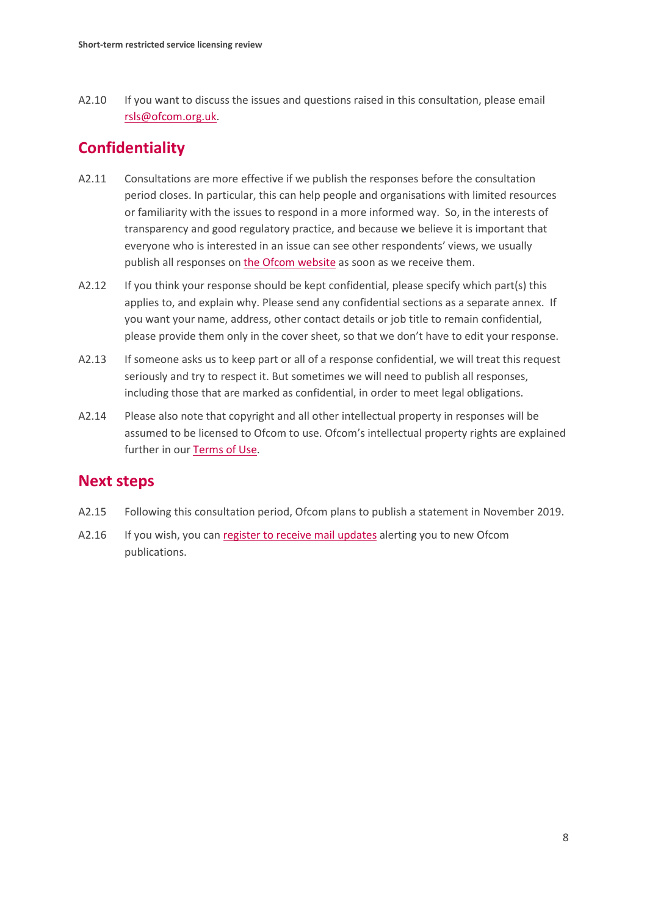A2.10 If you want to discuss the issues and questions raised in this consultation, please email [rsls@ofcom.org.uk.](mailto:rsls@ofcom.org.uk)

### **Confidentiality**

- A2.11 Consultations are more effective if we publish the responses before the consultation period closes. In particular, this can help people and organisations with limited resources or familiarity with the issues to respond in a more informed way. So, in the interests of transparency and good regulatory practice, and because we believe it is important that everyone who is interested in an issue can see other respondents' views, we usually publish all responses on [the Ofcom](http://www.ofcom.org.uk/) website as soon as we receive them.
- A2.12 If you think your response should be kept confidential, please specify which part(s) this applies to, and explain why. Please send any confidential sections as a separate annex. If you want your name, address, other contact details or job title to remain confidential, please provide them only in the cover sheet, so that we don't have to edit your response.
- A2.13 If someone asks us to keep part or all of a response confidential, we will treat this request seriously and try to respect it. But sometimes we will need to publish all responses, including those that are marked as confidential, in order to meet legal obligations.
- A2.14 Please also note that copyright and all other intellectual property in responses will be assumed to be licensed to Ofcom to use. Ofcom's intellectual property rights are explained further in ou[r Terms of Use.](https://www.ofcom.org.uk/about-ofcom/website/terms-of-use)

#### **Next steps**

- A2.15 Following this consultation period, Ofcom plans to publish a statement in November 2019.
- A2.16 If you wish, you can [register to receive mail updates](https://www.ofcom.org.uk/about-ofcom/latest/email-updates) alerting you to new Ofcom publications.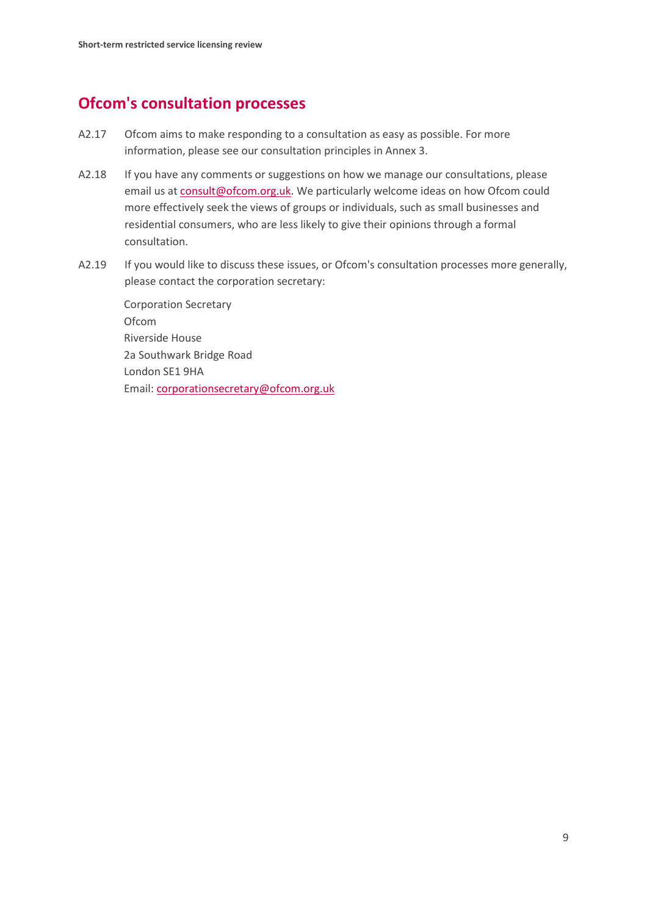#### **Ofcom's consultation processes**

- A2.17 Ofcom aims to make responding to a consultation as easy as possible. For more information, please see our consultation principles in Annex 3.
- A2.18 If you have any comments or suggestions on how we manage our consultations, please email us a[t consult@ofcom.org.uk.](mailto:consult@ofcom.org.uk) We particularly welcome ideas on how Ofcom could more effectively seek the views of groups or individuals, such as small businesses and residential consumers, who are less likely to give their opinions through a formal consultation.
- A2.19 If you would like to discuss these issues, or Ofcom's consultation processes more generally, please contact the corporation secretary:

Corporation Secretary Ofcom Riverside House 2a Southwark Bridge Road London SE1 9HA Email: [corporationsecretary@ofcom.org.uk](mailto:corporationsecretary@ofcom.org.uk)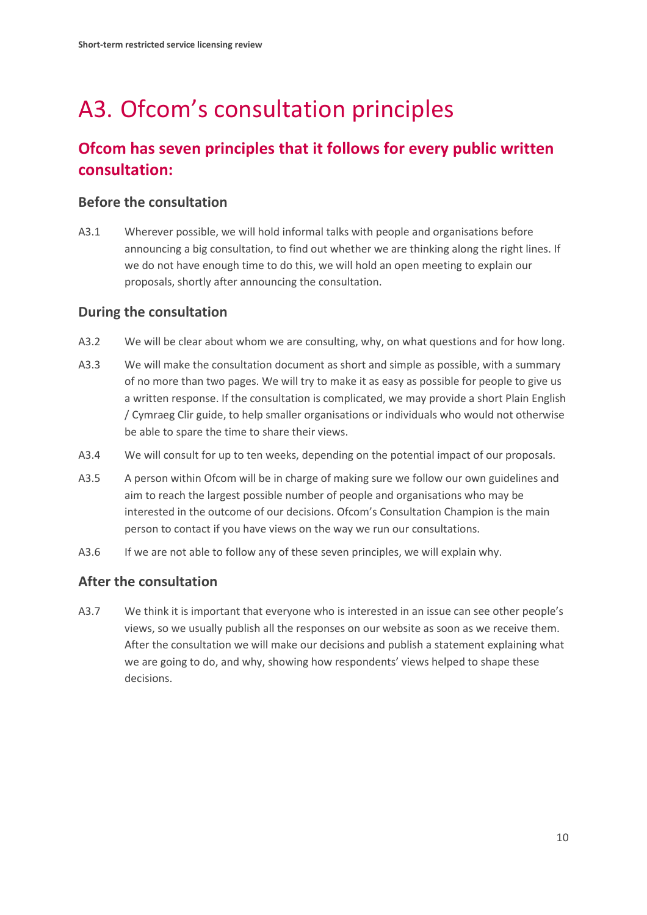# <span id="page-11-0"></span>A3. Ofcom's consultation principles

### **Ofcom has seven principles that it follows for every public written consultation:**

#### **Before the consultation**

A3.1 Wherever possible, we will hold informal talks with people and organisations before announcing a big consultation, to find out whether we are thinking along the right lines. If we do not have enough time to do this, we will hold an open meeting to explain our proposals, shortly after announcing the consultation.

#### **During the consultation**

- A3.2 We will be clear about whom we are consulting, why, on what questions and for how long.
- A3.3 We will make the consultation document as short and simple as possible, with a summary of no more than two pages. We will try to make it as easy as possible for people to give us a written response. If the consultation is complicated, we may provide a short Plain English / Cymraeg Clir guide, to help smaller organisations or individuals who would not otherwise be able to spare the time to share their views.
- A3.4 We will consult for up to ten weeks, depending on the potential impact of our proposals.
- A3.5 A person within Ofcom will be in charge of making sure we follow our own guidelines and aim to reach the largest possible number of people and organisations who may be interested in the outcome of our decisions. Ofcom's Consultation Champion is the main person to contact if you have views on the way we run our consultations.
- A3.6 If we are not able to follow any of these seven principles, we will explain why.

#### **After the consultation**

A3.7 We think it is important that everyone who is interested in an issue can see other people's views, so we usually publish all the responses on our website as soon as we receive them. After the consultation we will make our decisions and publish a statement explaining what we are going to do, and why, showing how respondents' views helped to shape these decisions.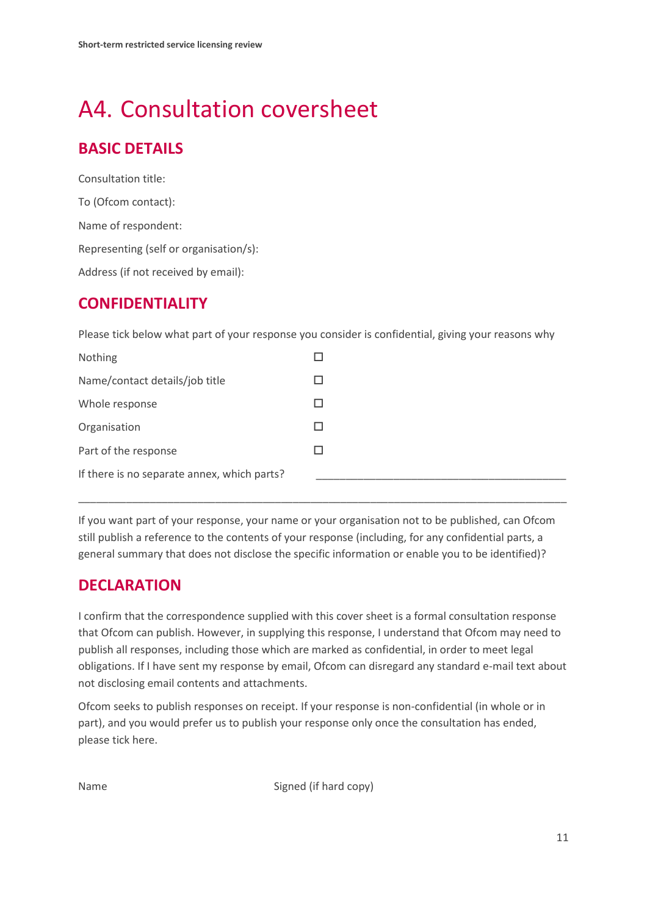## <span id="page-12-0"></span>A4. Consultation coversheet

### **BASIC DETAILS**

Consultation title: To (Ofcom contact): Name of respondent: Representing (self or organisation/s): Address (if not received by email):

#### **CONFIDENTIALITY**

Please tick below what part of your response you consider is confidential, giving your reasons why

| Nothing                                     |   |
|---------------------------------------------|---|
| Name/contact details/job title              |   |
| Whole response                              |   |
| Organisation                                |   |
| Part of the response                        | H |
| If there is no separate annex, which parts? |   |

If you want part of your response, your name or your organisation not to be published, can Ofcom still publish a reference to the contents of your response (including, for any confidential parts, a general summary that does not disclose the specific information or enable you to be identified)?

\_\_\_\_\_\_\_\_\_\_\_\_\_\_\_\_\_\_\_\_\_\_\_\_\_\_\_\_\_\_\_\_\_\_\_\_\_\_\_\_\_\_\_\_\_\_\_\_\_\_\_\_\_\_\_\_\_\_\_\_\_\_\_\_\_\_\_\_\_\_\_\_\_\_\_\_\_\_\_\_\_\_

### **DECLARATION**

I confirm that the correspondence supplied with this cover sheet is a formal consultation response that Ofcom can publish. However, in supplying this response, I understand that Ofcom may need to publish all responses, including those which are marked as confidential, in order to meet legal obligations. If I have sent my response by email, Ofcom can disregard any standard e-mail text about not disclosing email contents and attachments.

Ofcom seeks to publish responses on receipt. If your response is non-confidential (in whole or in part), and you would prefer us to publish your response only once the consultation has ended, please tick here.

Name Signed (if hard copy)